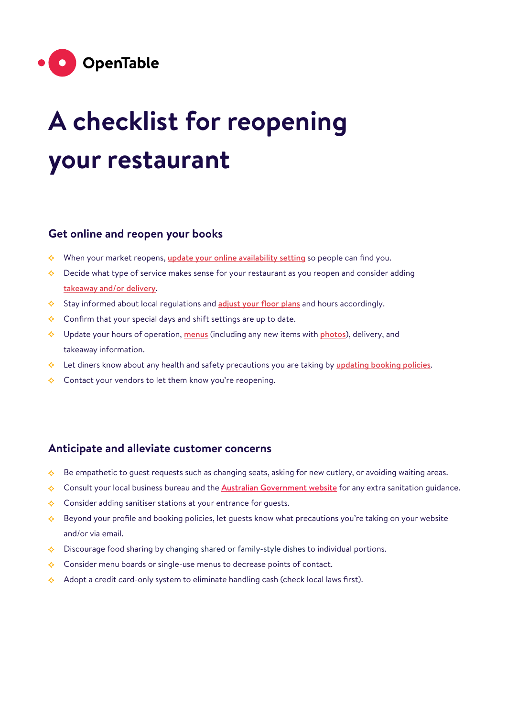

# **A checklist for reopening your restaurant**

## **Get online and reopen your books**

- $\Diamond$  When your market reopens, [update your online availability setting](https://support.opentable.com/s/article/Reopen-support?language=en_US&utm_campaign=OpenDoors&utm_medium=Email&utm_source=OpenTable) so people can find you.
- $\Diamond$  Decide what type of service makes sense for your restaurant as you reopen and consider adding [takeaway and/or delivery](https://support.opentable.com/s/article/OpenTable-Delivery-FAQ-s-for-Restaurants?language=en_US).
- Stay informed about local regulations and [adjust your floor plans](https://support.opentable.com/s/article/Adding-Copying-and-Adjusting-Floor-Plans-in-GuestCenter-1505261563862?language=en_US) and hours accordingly.
- $\diamond$  Confirm that your special days and shift settings are up to date.
- $\Diamond$  Update your hours of operation, [menus](https://support.opentable.com/s/article/How-To-Update-Your-Menus-in-GuestCenter?language=en_US) (including any new items with [photos](https://support.opentable.com/s/article/How-to-update-photos-on-OpenTable-com-profile?language=en_US)), delivery, and takeaway information.
- $\Diamond$  Let diners know about any health and safety precautions you are taking by [updating booking policies](https://support.opentable.com/s/article/Editing-Guest-Communications-in-GuestCenter?language=en_US).
- $\Diamond$  Contact your vendors to let them know you're reopening.

#### **Anticipate and alleviate customer concerns**

- Be empathetic to guest requests such as changing seats, asking for new cutlery, or avoiding waiting areas.  $\triangle$
- $\diamond$ Consult your local business bureau and the [Australian Government website](https://www.australia.gov.au/) for any extra sanitation quidance.
- $\Diamond$  Consider adding sanitiser stations at your entrance for quests.
- $\Diamond$  Beyond your profile and booking policies, let guests know what precautions you're taking on your website and/or via email.
- $\diamond$  Discourage food sharing by changing shared or family-style dishes to individual portions.
- $\Diamond$  Consider menu boards or single-use menus to decrease points of contact.
- $\Diamond$  Adopt a credit card-only system to eliminate handling cash (check local laws first).